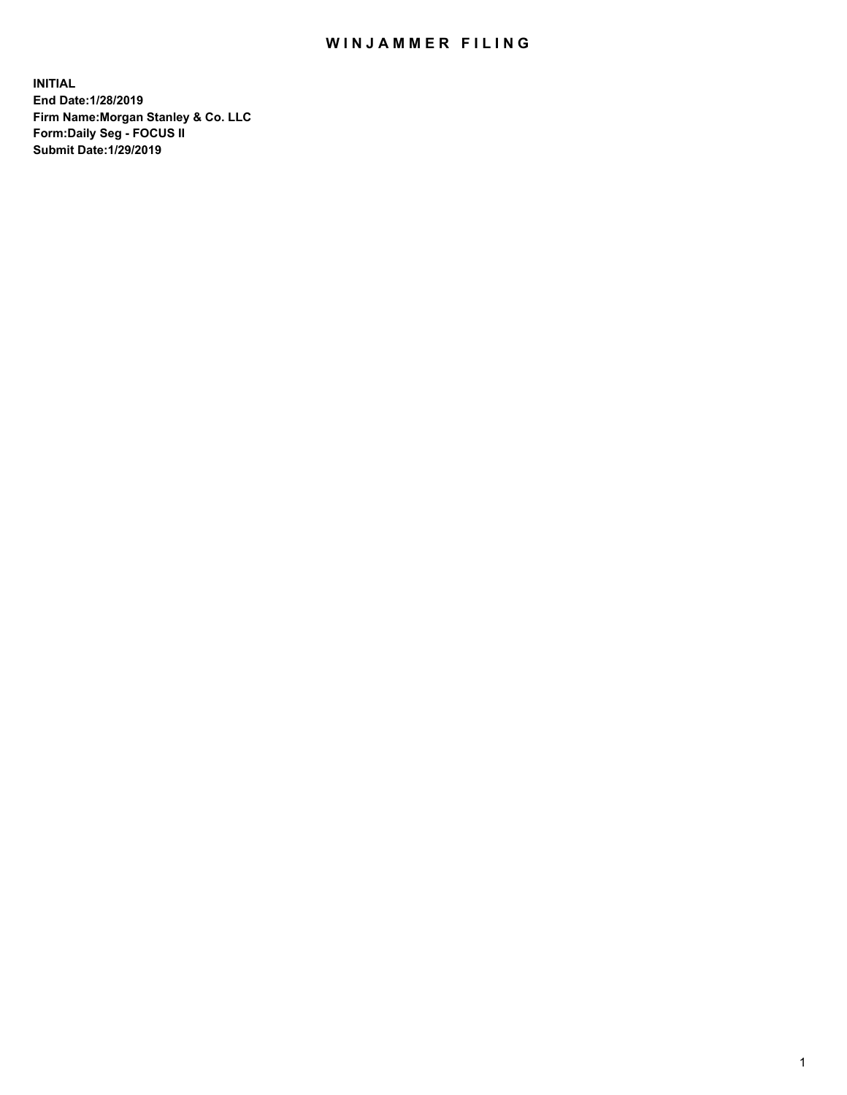## WIN JAMMER FILING

**INITIAL End Date:1/28/2019 Firm Name:Morgan Stanley & Co. LLC Form:Daily Seg - FOCUS II Submit Date:1/29/2019**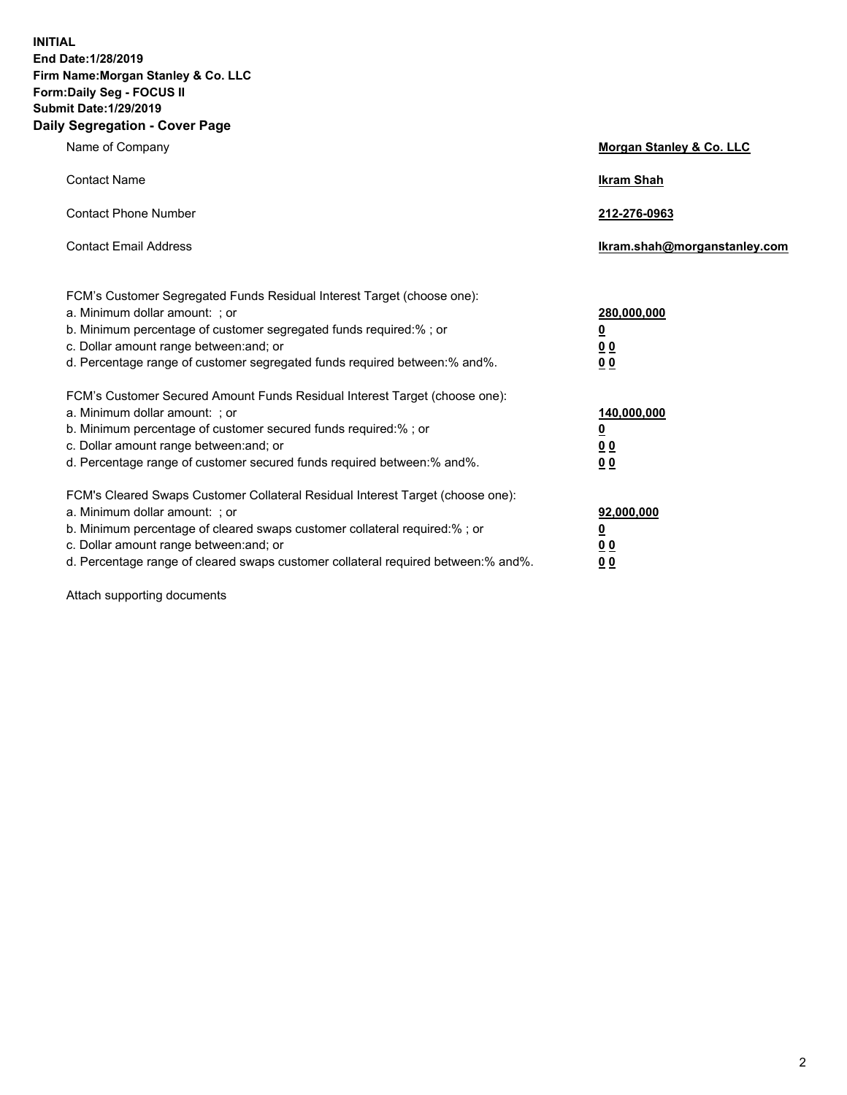**INITIAL End Date:1/28/2019 Firm Name:Morgan Stanley & Co. LLC Form:Daily Seg - FOCUS II Submit Date:1/29/2019 Daily Segregation - Cover Page**

| Name of Company                                                                                                                                                                                                                                                                                                                | Morgan Stanley & Co. LLC                  |
|--------------------------------------------------------------------------------------------------------------------------------------------------------------------------------------------------------------------------------------------------------------------------------------------------------------------------------|-------------------------------------------|
| <b>Contact Name</b>                                                                                                                                                                                                                                                                                                            | <b>Ikram Shah</b>                         |
| <b>Contact Phone Number</b>                                                                                                                                                                                                                                                                                                    | 212-276-0963                              |
| <b>Contact Email Address</b>                                                                                                                                                                                                                                                                                                   | lkram.shah@morganstanley.com              |
| FCM's Customer Segregated Funds Residual Interest Target (choose one):<br>a. Minimum dollar amount: ; or<br>b. Minimum percentage of customer segregated funds required:% ; or<br>c. Dollar amount range between: and; or                                                                                                      | 280,000,000<br><u>0</u><br><u>00</u>      |
| d. Percentage range of customer segregated funds required between:% and%.<br>FCM's Customer Secured Amount Funds Residual Interest Target (choose one):<br>a. Minimum dollar amount: ; or                                                                                                                                      | 0 <sub>0</sub><br>140,000,000             |
| b. Minimum percentage of customer secured funds required:% ; or<br>c. Dollar amount range between: and; or<br>d. Percentage range of customer secured funds required between:% and%.                                                                                                                                           | <u>0</u><br>0 <sub>0</sub><br>00          |
| FCM's Cleared Swaps Customer Collateral Residual Interest Target (choose one):<br>a. Minimum dollar amount: ; or<br>b. Minimum percentage of cleared swaps customer collateral required:% ; or<br>c. Dollar amount range between: and; or<br>d. Percentage range of cleared swaps customer collateral required between:% and%. | 92,000,000<br><u>0</u><br><u>00</u><br>00 |

Attach supporting documents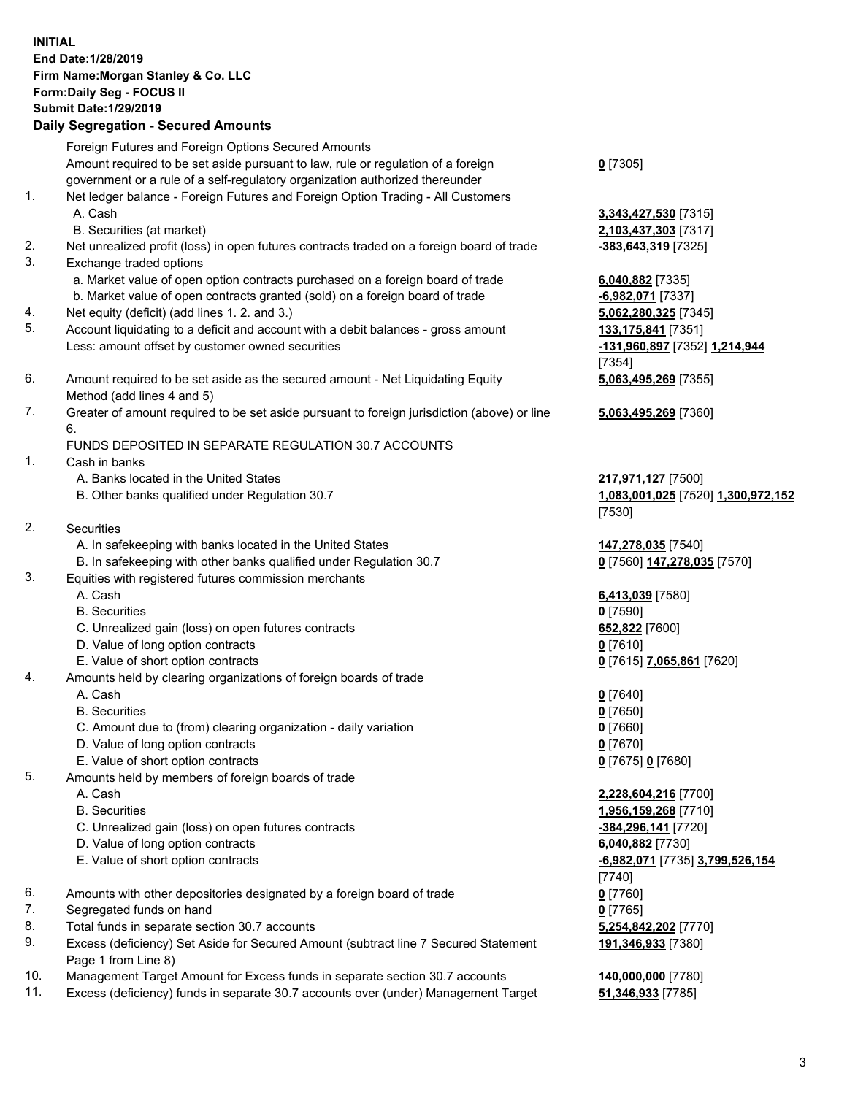## **INITIAL End Date:1/28/2019 Firm Name:Morgan Stanley & Co. LLC Form:Daily Seg - FOCUS II Submit Date:1/29/2019 Daily Segregation - Secured Amounts**

Foreign Futures and Foreign Options Secured Amounts Amount required to be set aside pursuant to law, rule or regulation of a foreign government or a rule of a self-regulatory organization authorized thereunder

- 1. Net ledger balance Foreign Futures and Foreign Option Trading All Customers A. Cash **3,343,427,530** [7315]
	- B. Securities (at market) **2,103,437,303** [7317]
- 2. Net unrealized profit (loss) in open futures contracts traded on a foreign board of trade **-383,643,319** [7325]
- 3. Exchange traded options
	- a. Market value of open option contracts purchased on a foreign board of trade **6,040,882** [7335]
	- b. Market value of open contracts granted (sold) on a foreign board of trade **-6,982,071** [7337]
- 4. Net equity (deficit) (add lines 1. 2. and 3.) **5,062,280,325** [7345]
- 5. Account liquidating to a deficit and account with a debit balances gross amount **133,175,841** [7351] Less: amount offset by customer owned securities **-131,960,897** [7352] **1,214,944**
- 6. Amount required to be set aside as the secured amount Net Liquidating Equity Method (add lines 4 and 5)
- 7. Greater of amount required to be set aside pursuant to foreign jurisdiction (above) or line 6.

## FUNDS DEPOSITED IN SEPARATE REGULATION 30.7 ACCOUNTS

- 1. Cash in banks
	- A. Banks located in the United States **217,971,127** [7500]
	- B. Other banks qualified under Regulation 30.7 **1,083,001,025** [7520] **1,300,972,152**
- 2. Securities
	- A. In safekeeping with banks located in the United States **147,278,035** [7540]
	- B. In safekeeping with other banks qualified under Regulation 30.7 **0** [7560] **147,278,035** [7570]
- 3. Equities with registered futures commission merchants
	-
	- B. Securities **0** [7590]
	- C. Unrealized gain (loss) on open futures contracts **652,822** [7600]
	- D. Value of long option contracts **0** [7610]
- E. Value of short option contracts **0** [7615] **7,065,861** [7620]
- 4. Amounts held by clearing organizations of foreign boards of trade
	- A. Cash **0** [7640]
	- B. Securities **0** [7650]
	- C. Amount due to (from) clearing organization daily variation **0** [7660]
	- D. Value of long option contracts **0** [7670]
	- E. Value of short option contracts **0** [7675] **0** [7680]
- 5. Amounts held by members of foreign boards of trade
	-
	-
	- C. Unrealized gain (loss) on open futures contracts **-384,296,141** [7720]
	- D. Value of long option contracts **6,040,882** [7730]
	- E. Value of short option contracts **-6,982,071** [7735] **3,799,526,154**
- 6. Amounts with other depositories designated by a foreign board of trade **0** [7760]
- 7. Segregated funds on hand **0** [7765]
- 8. Total funds in separate section 30.7 accounts **5,254,842,202** [7770]
- 9. Excess (deficiency) Set Aside for Secured Amount (subtract line 7 Secured Statement Page 1 from Line 8)
- 10. Management Target Amount for Excess funds in separate section 30.7 accounts **140,000,000** [7780]
- 11. Excess (deficiency) funds in separate 30.7 accounts over (under) Management Target **51,346,933** [7785]

**0** [7305]

[7354] **5,063,495,269** [7355]

**5,063,495,269** [7360]

[7530]

A. Cash **6,413,039** [7580]

 A. Cash **2,228,604,216** [7700] B. Securities **1,956,159,268** [7710] [7740] **191,346,933** [7380]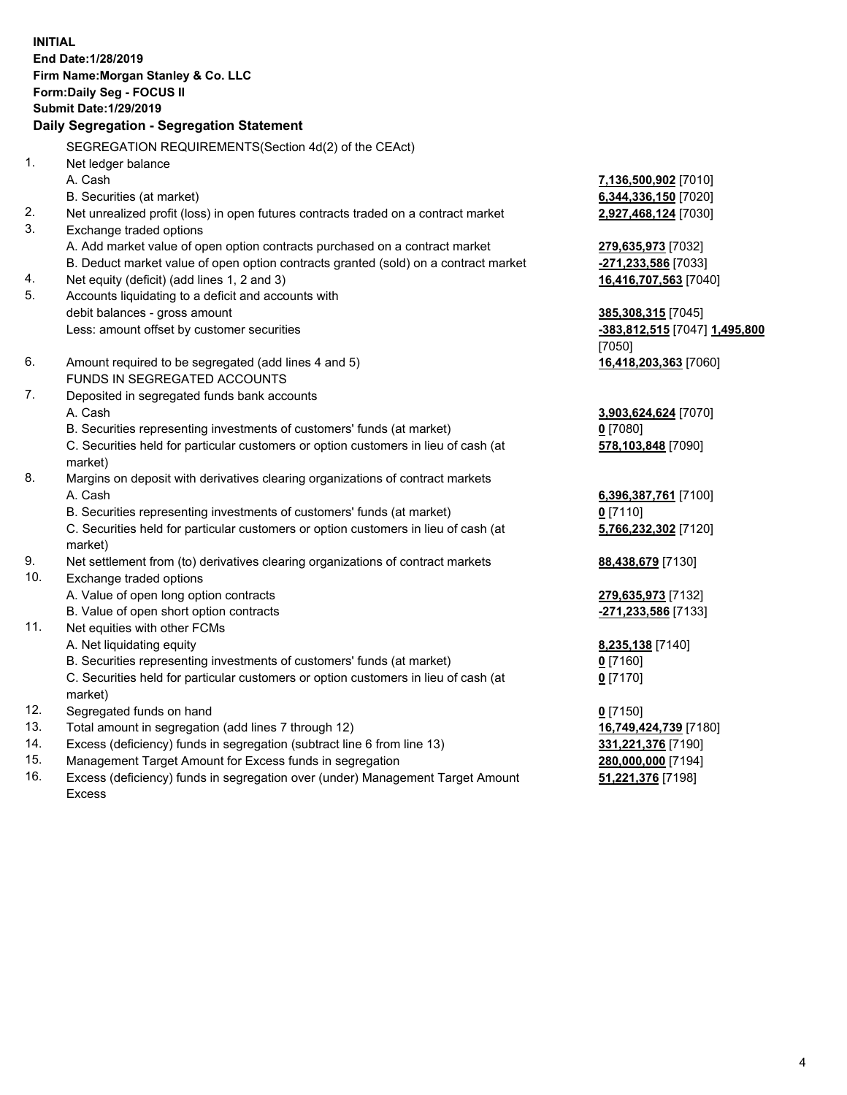**INITIAL End Date:1/28/2019 Firm Name:Morgan Stanley & Co. LLC Form:Daily Seg - FOCUS II Submit Date:1/29/2019 Daily Segregation - Segregation Statement** SEGREGATION REQUIREMENTS(Section 4d(2) of the CEAct) 1. Net ledger balance A. Cash **7,136,500,902** [7010] B. Securities (at market) **6,344,336,150** [7020] 2. Net unrealized profit (loss) in open futures contracts traded on a contract market **2,927,468,124** [7030] 3. Exchange traded options A. Add market value of open option contracts purchased on a contract market **279,635,973** [7032] B. Deduct market value of open option contracts granted (sold) on a contract market **-271,233,586** [7033] 4. Net equity (deficit) (add lines 1, 2 and 3) **16,416,707,563** [7040] 5. Accounts liquidating to a deficit and accounts with debit balances - gross amount **385,308,315** [7045] Less: amount offset by customer securities **-383,812,515** [7047] **1,495,800** [7050] 6. Amount required to be segregated (add lines 4 and 5) **16,418,203,363** [7060] FUNDS IN SEGREGATED ACCOUNTS 7. Deposited in segregated funds bank accounts A. Cash **3,903,624,624** [7070] B. Securities representing investments of customers' funds (at market) **0** [7080] C. Securities held for particular customers or option customers in lieu of cash (at market) **578,103,848** [7090] 8. Margins on deposit with derivatives clearing organizations of contract markets A. Cash **6,396,387,761** [7100] B. Securities representing investments of customers' funds (at market) **0** [7110] C. Securities held for particular customers or option customers in lieu of cash (at market) **5,766,232,302** [7120] 9. Net settlement from (to) derivatives clearing organizations of contract markets **88,438,679** [7130] 10. Exchange traded options A. Value of open long option contracts **279,635,973** [7132] B. Value of open short option contracts **-271,233,586** [7133] 11. Net equities with other FCMs A. Net liquidating equity **8,235,138** [7140] B. Securities representing investments of customers' funds (at market) **0** [7160] C. Securities held for particular customers or option customers in lieu of cash (at market) **0** [7170] 12. Segregated funds on hand **0** [7150] 13. Total amount in segregation (add lines 7 through 12) **16,749,424,739** [7180] 14. Excess (deficiency) funds in segregation (subtract line 6 from line 13) **331,221,376** [7190]

- 15. Management Target Amount for Excess funds in segregation **280,000,000** [7194]
- 16. Excess (deficiency) funds in segregation over (under) Management Target Amount Excess

**51,221,376** [7198]